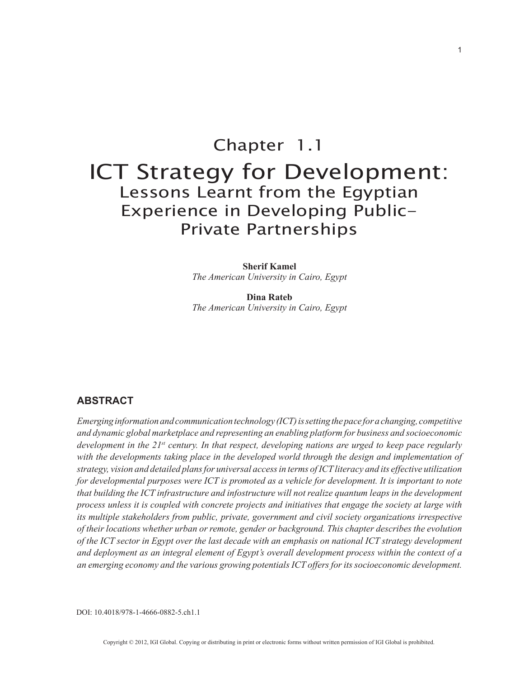# Chapter 1.1 ICT Strategy for Development: Lessons Learnt from the Egyptian Experience in Developing Public-Private Partnerships

**Sherif Kamel** *The American University in Cairo, Egypt*

**Dina Rateb** *The American University in Cairo, Egypt*

# **ABSTRACT**

*Emerging information and communication technology (ICT) is setting the pace for a changing, competitive and dynamic global marketplace and representing an enabling platform for business and socioeconomic development in the 21st century. In that respect, developing nations are urged to keep pace regularly*  with the developments taking place in the developed world through the design and implementation of *strategy, vision and detailed plans for universal access in terms of ICT literacy and its effective utilization for developmental purposes were ICT is promoted as a vehicle for development. It is important to note that building the ICT infrastructure and infostructure will not realize quantum leaps in the development process unless it is coupled with concrete projects and initiatives that engage the society at large with its multiple stakeholders from public, private, government and civil society organizations irrespective of their locations whether urban or remote, gender or background. This chapter describes the evolution of the ICT sector in Egypt over the last decade with an emphasis on national ICT strategy development and deployment as an integral element of Egypt's overall development process within the context of a an emerging economy and the various growing potentials ICT offers for its socioeconomic development.*

DOI: 10.4018/978-1-4666-0882-5.ch1.1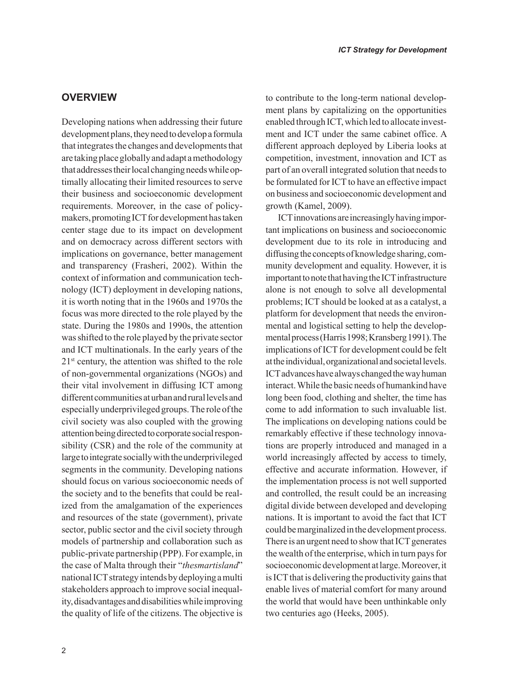## **OVERVIEW**

Developing nations when addressing their future development plans, they need to develop a formula that integrates the changes and developments that are taking place globally and adapt a methodology that addresses their local changing needs while optimally allocating their limited resources to serve their business and socioeconomic development requirements. Moreover, in the case of policymakers, promoting ICT for development has taken center stage due to its impact on development and on democracy across different sectors with implications on governance, better management and transparency (Frasheri, 2002). Within the context of information and communication technology (ICT) deployment in developing nations, it is worth noting that in the 1960s and 1970s the focus was more directed to the role played by the state. During the 1980s and 1990s, the attention was shifted to the role played by the private sector and ICT multinationals. In the early years of the 21st century, the attention was shifted to the role of non-governmental organizations (NGOs) and their vital involvement in diffusing ICT among different communities at urban and rural levels and especially underprivileged groups. The role of the civil society was also coupled with the growing attention being directed to corporate social responsibility (CSR) and the role of the community at large to integrate socially with the underprivileged segments in the community. Developing nations should focus on various socioeconomic needs of the society and to the benefits that could be realized from the amalgamation of the experiences and resources of the state (government), private sector, public sector and the civil society through models of partnership and collaboration such as public-private partnership (PPP). For example, in the case of Malta through their "*thesmartisland*" national ICT strategy intends by deploying a multi stakeholders approach to improve social inequality, disadvantages and disabilities while improving the quality of life of the citizens. The objective is to contribute to the long-term national development plans by capitalizing on the opportunities enabled through ICT, which led to allocate investment and ICT under the same cabinet office. A different approach deployed by Liberia looks at competition, investment, innovation and ICT as part of an overall integrated solution that needs to be formulated for ICT to have an effective impact on business and socioeconomic development and growth (Kamel, 2009).

ICT innovations are increasingly having important implications on business and socioeconomic development due to its role in introducing and diffusing the concepts of knowledge sharing, community development and equality. However, it is important to note that having the ICT infrastructure alone is not enough to solve all developmental problems; ICT should be looked at as a catalyst, a platform for development that needs the environmental and logistical setting to help the developmental process (Harris 1998; Kransberg 1991). The implications of ICT for development could be felt at the individual, organizational and societal levels. ICT advances have always changed the way human interact. While the basic needs of humankind have long been food, clothing and shelter, the time has come to add information to such invaluable list. The implications on developing nations could be remarkably effective if these technology innovations are properly introduced and managed in a world increasingly affected by access to timely, effective and accurate information. However, if the implementation process is not well supported and controlled, the result could be an increasing digital divide between developed and developing nations. It is important to avoid the fact that ICT could be marginalized in the development process. There is an urgent need to show that ICT generates the wealth of the enterprise, which in turn pays for socioeconomic development at large. Moreover, it is ICT that is delivering the productivity gains that enable lives of material comfort for many around the world that would have been unthinkable only two centuries ago (Heeks, 2005).